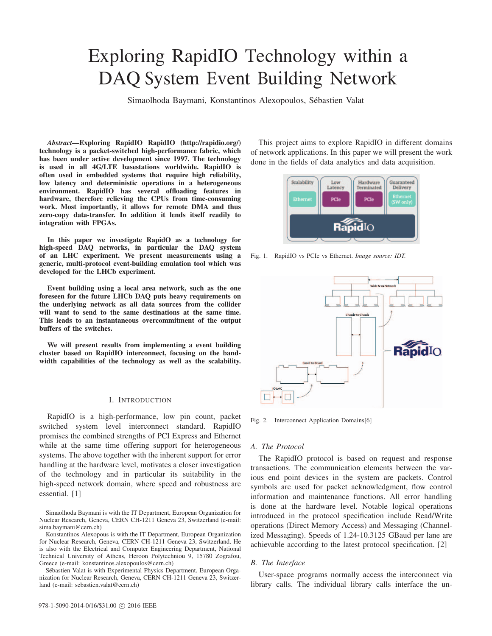# Exploring RapidIO Technology within a DAQ System Event Building Network

Simaolhoda Baymani, Konstantinos Alexopoulos, Sebastien Valat ´

*Abstract*—Exploring RapidIO RapidIO (http://rapidio.org/) technology is a packet-switched high-performance fabric, which has been under active development since 1997. The technology is used in all 4G/LTE basestations worldwide. RapidIO is often used in embedded systems that require high reliability, low latency and deterministic operations in a heterogeneous environment. RapidIO has several offloading features in hardware, therefore relieving the CPUs from time-consuming work. Most importantly, it allows for remote DMA and thus zero-copy data-transfer. In addition it lends itself readily to integration with FPGAs.

In this paper we investigate RapidO as a technology for high-speed DAQ networks, in particular the DAQ system of an LHC experiment. We present measurements using a generic, multi-protocol event-building emulation tool which was developed for the LHCb experiment.

Event building using a local area network, such as the one foreseen for the future LHCb DAQ puts heavy requirements on the underlying network as all data sources from the collider will want to send to the same destinations at the same time. This leads to an instantaneous overcommitment of the output buffers of the switches.

We will present results from implementing a event building cluster based on RapidIO interconnect, focusing on the bandwidth capabilities of the technology as well as the scalability.

#### I. INTRODUCTION

RapidIO is a high-performance, low pin count, packet switched system level interconnect standard. RapidIO promises the combined strengths of PCI Express and Ethernet while at the same time offering support for heterogeneous systems. The above together with the inherent support for error handling at the hardware level, motivates a closer investigation of the technology and in particular its suitability in the high-speed network domain, where speed and robustness are essential. [1]

Simaolhoda Baymani is with the IT Department, European Organization for Nuclear Research, Geneva, CERN CH-1211 Geneva 23, Switzerland (e-mail: sima.baymani@cern.ch)

Konstantinos Alexopous is with the IT Department, European Organization for Nuclear Research, Geneva, CERN CH-1211 Geneva 23, Switzerland. He is also with the Electrical and Computer Engineering Department, National Technical University of Athens, Heroon Polytechniou 9, 15780 Zografou, Greece (e-mail: konstantinos.alexopoulos@cern.ch)

Sébastien Valat is with Experimental Physics Department, European Organization for Nuclear Research, Geneva, CERN CH-1211 Geneva 23, Switzerland (e-mail: sebastien.valat@cern.ch)

This project aims to explore RapidIO in different domains of network applications. In this paper we will present the work done in the fields of data analytics and data acquisition.



Fig. 1. RapidIO vs PCIe vs Ethernet. *Image source: IDT.*



Fig. 2. Interconnect Application Domains[6]

# *A. The Protocol*

The RapidIO protocol is based on request and response transactions. The communication elements between the various end point devices in the system are packets. Control symbols are used for packet acknowledgment, flow control information and maintenance functions. All error handling is done at the hardware level. Notable logical operations introduced in the protocol specification include Read/Write operations (Direct Memory Access) and Messaging (Channelized Messaging). Speeds of 1.24-10.3125 GBaud per lane are achievable according to the latest protocol specification. [2]

#### *B. The Interface*

User-space programs normally access the interconnect via library calls. The individual library calls interface the un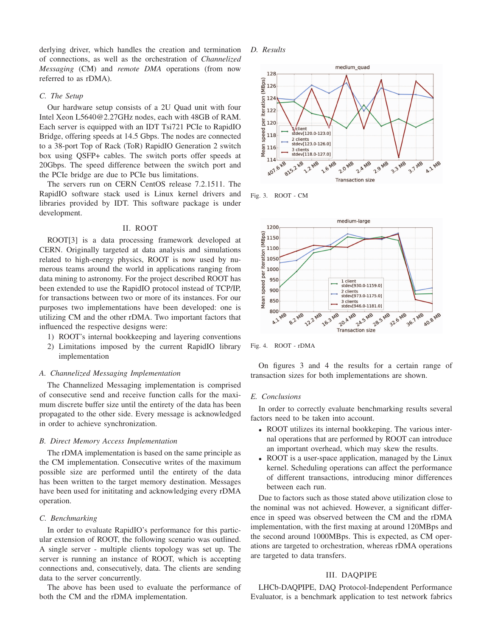derlying driver, which handles the creation and termination of connections, as well as the orchestration of *Channelized Messaging* (CM) and *remote DMA* operations (from now referred to as rDMA).

## *C. The Setup*

Our hardware setup consists of a 2U Quad unit with four Intel Xeon L5640@2.27GHz nodes, each with 48GB of RAM. Each server is equipped with an IDT Tsi721 PCIe to RapidIO Bridge, offering speeds at 14.5 Gbps. The nodes are connected to a 38-port Top of Rack (ToR) RapidIO Generation 2 switch box using QSFP+ cables. The switch ports offer speeds at 20Gbps. The speed difference between the switch port and the PCIe bridge are due to PCIe bus limitations.

The servers run on CERN CentOS release 7.2.1511. The RapidIO software stack used is Linux kernel drivers and libraries provided by IDT. This software package is under development.

#### II. ROOT

ROOT[3] is a data processing framework developed at CERN. Originally targeted at data analysis and simulations related to high-energy physics, ROOT is now used by numerous teams around the world in applications ranging from data mining to astronomy. For the project described ROOT has been extended to use the RapidIO protocol instead of TCP/IP, for transactions between two or more of its instances. For our purposes two implementations have been developed: one is utilizing CM and the other rDMA. Two important factors that influenced the respective designs were:

- 1) ROOT's internal bookkeeping and layering conventions
- 2) Limitations imposed by the current RapidIO library implementation

# *A. Channelized Messaging Implementation*

The Channelized Messaging implementation is comprised of consecutive send and receive function calls for the maximum discrete buffer size until the entirety of the data has been propagated to the other side. Every message is acknowledged in order to achieve synchronization.

# *B. Direct Memory Access Implementation*

The rDMA implementation is based on the same principle as the CM implementation. Consecutive writes of the maximum possible size are performed until the entirety of the data has been written to the target memory destination. Messages have been used for inititating and acknowledging every rDMA operation.

# *C. Benchmarking*

In order to evaluate RapidIO's performance for this particular extension of ROOT, the following scenario was outlined. A single server - multiple clients topology was set up. The server is running an instance of ROOT, which is accepting connections and, consecutively, data. The clients are sending data to the server concurrently.

The above has been used to evaluate the performance of both the CM and the rDMA implementation.





Fig. 3. ROOT - CM





On figures 3 and 4 the results for a certain range of transaction sizes for both implementations are shown.

## *E. Conclusions*

In order to correctly evaluate benchmarking results several factors need to be taken into account.

- ROOT utilizes its internal bookkeping. The various internal operations that are performed by ROOT can introduce an important overhead, which may skew the results.
- ROOT is a user-space application, managed by the Linux kernel. Scheduling operations can affect the performance of different transactions, introducing minor differences between each run.

Due to factors such as those stated above utilization close to the nominal was not achieved. However, a significant difference in speed was observed between the CM and the rDMA implementation, with the first maxing at around 120MBps and the second around 1000MBps. This is expected, as CM operations are targeted to orchestration, whereas rDMA operations are targeted to data transfers.

## III. DAQPIPE

LHCb-DAQPIPE, DAQ Protocol-Independent Performance Evaluator, is a benchmark application to test network fabrics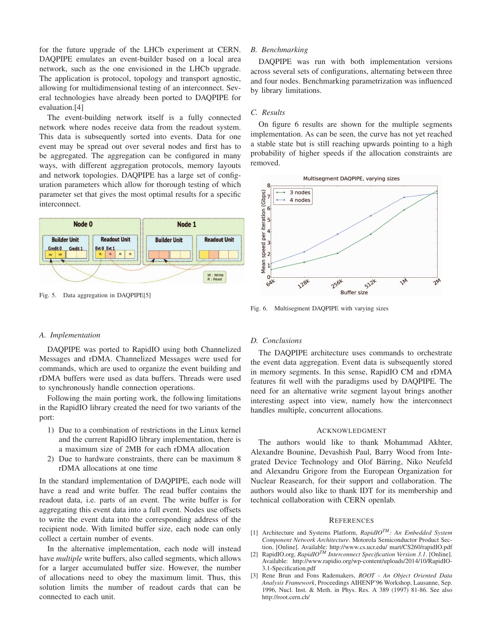for the future upgrade of the LHCb experiment at CERN. DAQPIPE emulates an event-builder based on a local area network, such as the one envisioned in the LHCb upgrade. The application is protocol, topology and transport agnostic, allowing for multidimensional testing of an interconnect. Several technologies have already been ported to DAQPIPE for evaluation.[4]

The event-building network itself is a fully connected network where nodes receive data from the readout system. This data is subsequently sorted into events. Data for one event may be spread out over several nodes and first has to be aggregated. The aggregation can be configured in many ways, with different aggregation protocols, memory layouts and network topologies. DAQPIPE has a large set of configuration parameters which allow for thorough testing of which parameter set that gives the most optimal results for a specific interconnect.



Fig. 5. Data aggregation in DAQPIPE[5]

# *B. Benchmarking*

DAQPIPE was run with both implementation versions across several sets of configurations, alternating between three and four nodes. Benchmarking parametrization was influenced by library limitations.

# *C. Results*

On figure 6 results are shown for the multiple segments implementation. As can be seen, the curve has not yet reached a stable state but is still reaching upwards pointing to a high probability of higher speeds if the allocation constraints are removed.



Fig. 6. Multisegment DAQPIPE with varying sizes

# *A. Implementation*

DAQPIPE was ported to RapidIO using both Channelized Messages and rDMA. Channelized Messages were used for commands, which are used to organize the event building and rDMA buffers were used as data buffers. Threads were used to synchronously handle connection operations.

Following the main porting work, the following limitations in the RapidIO library created the need for two variants of the port:

- 1) Due to a combination of restrictions in the Linux kernel and the current RapidIO library implementation, there is a maximum size of 2MB for each rDMA allocation
- 2) Due to hardware constraints, there can be maximum 8 rDMA allocations at one time

In the standard implementation of DAQPIPE, each node will have a read and write buffer. The read buffer contains the readout data, i.e. parts of an event. The write buffer is for aggregating this event data into a full event. Nodes use offsets to write the event data into the corresponding address of the recipient node. With limited buffer size, each node can only collect a certain number of events.

In the alternative implementation, each node will instead have *multiple* write buffers, also called segments, which allows for a larger accumulated buffer size. However, the number of allocations need to obey the maximum limit. Thus, this solution limits the number of readout cards that can be connected to each unit.

# *D. Conclusions*

The DAQPIPE architecture uses commands to orchestrate the event data aggregation. Event data is subsequently stored in memory segments. In this sense, RapidIO CM and rDMA features fit well with the paradigms used by DAQPIPE. The need for an alternative write segment layout brings another interesting aspect into view, namely how the interconnect handles multiple, concurrent allocations.

# ACKNOWLEDGMENT

The authors would like to thank Mohammad Akhter, Alexandre Bounine, Devashish Paul, Barry Wood from Integrated Device Technology and Olof Bärring, Niko Neufeld and Alexandru Grigore from the European Organization for Nuclear Reasearch, for their support and collaboration. The authors would also like to thank IDT for its membership and technical collaboration with CERN openlab.

#### **REFERENCES**

- [1] Architecture and Systems Platform, *RapidIOTM: An Embedded System Component Network Architecture*. Motorola Semiconductor Product Section. [Online]. Available: http://www.cs.ucr.edu/ mart/CS260/rapidIO.pdf
- [2] RapidIO.org, *RapidIOTM Interconnect Specification Version 3.1*. [Online]. Available: http://www.rapidio.org/wp-content/uploads/2014/10/RapidIO-3.1-Specification.pdf
- [3] Rene Brun and Fons Rademakers, *ROOT An Object Oriented Data Analysis Framework*, Proceedings AIHENP'96 Workshop, Lausanne, Sep. 1996, Nucl. Inst. & Meth. in Phys. Res. A 389 (1997) 81-86. See also http://root.cern.ch/